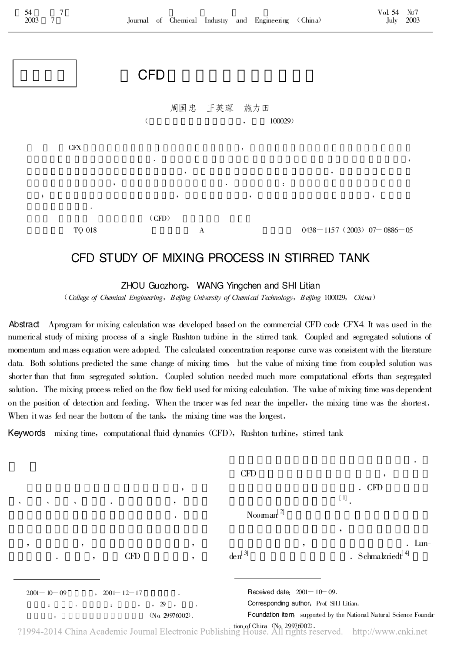

## CFD STUDY OF MIXING PROCESS IN STIRRED TANK

ZHOU Guozhong, WANG Yingchen and SHI Litian

(College of Chemical Engineering , Beijing University of Chemical Technology , Beijing 100029 , China)

Abstract Aprogram for mixing calculation was developed based on the commercial CFD code CFX4. It was used in the numerical study of mixing process of a single Rushton turbine in the stirred tank.Coupled and segregated solutions of momentum and mass equation were adopted.The calculated concentration response curve was consistent with the literature data. Both solutions predicted the same change of mixing time, but the value of mixing time from coupled solution was shorter than that from segregated solution .Coupled solution needed much more computational efforts than segregated solution. The mixing process relied on the flow field used for mixing calculation. The value of mixing time was dependent on the position of detection and feeding. When the tracer was fed near the impeller, the mixing time was the shortest. When it was fed near the bottom of the tank, the mixing time was the longest.

Keywords mixing time, computational fluid dynamics (CFD), Rushton turbine, stirred tank

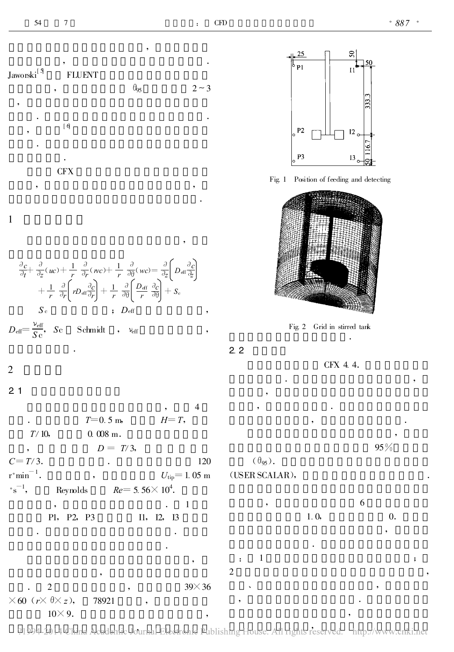

$$
\frac{\partial c}{\partial t} + \frac{\partial}{\partial z}(uc) + \frac{1}{r} \frac{\partial}{\partial r}(wc) + \frac{1}{r} \frac{\partial}{\partial \theta}(wc) = \frac{\partial}{\partial z} \left( D_{\text{eff}} \frac{\partial c}{\partial z} \right) \n+ \frac{1}{r} \frac{\partial}{\partial r} \left( r D_{\text{eff}} \frac{\partial c}{\partial r} \right) + \frac{1}{r} \frac{\partial}{\partial \theta} \left( \frac{D_{\text{eff}}}{r} \frac{\partial c}{\partial \theta} \right) + S_c \nS_c \qquad ; \quad D_{\text{eff}} \qquad ,
$$
\n
$$
D_{\text{eff}} = \frac{v_{\text{eff}}}{S c}, \quad S c \qquad \text{Schmidt} \qquad , \quad v_{\text{eff}} \qquad ,
$$



Fig.1 Position of feeding and detecting



Fig.2 Grid in stirred tank

2.2

,

CFX 4.4.

.

. ,

## 2

2.1

 $\overline{4}$  $T = 0.5 \text{ m}, \qquad H = T,$  $T/10$ , 0.008 m.  $D = T/3$ ,  $C = T/3$  . 120  $r \degree \text{min}^{-1}$ .  $U_{\text{tip}} = 1.05 \text{ m}$  $^{\circ} \mathrm{s}$  $^{-1}$ Reynolds  $Re=5.56\times10^4$ . , . . . . . . . . . . . . . . . . . . 1 . . . . . . . . . . . 1 P1, P2, P3 I1, I2, I3 . . . 2 , 39 $\times$  36  $\times$  60 ( $r \times \theta \times z$ ), 78921  $10 \times 9$ . , . , . , 95 %  $(\theta_{95})$ . (USER SCALAR), , and the contract of  $6\,$  $1.0, 0.$ .  $\hspace{.15cm} \hspace{.15cm} ; \hspace{.15cm} \hspace{.15cm} \hspace{.15cm} ; \hspace{.15cm}$  $2 \left( \frac{1}{2} \right)$  $\sim$  , and the set of  $\sim$  , and the set of  $\sim$ , and the set of the set of the set of the set of the set of the set of the set of the set of the set of the set of the set of the set of the set of the set of the set of the set of the set of the set of the set of the se

?1994-2014 China Academic Journal Electronic Publishing House. All rights reserved. http://www.cnki.net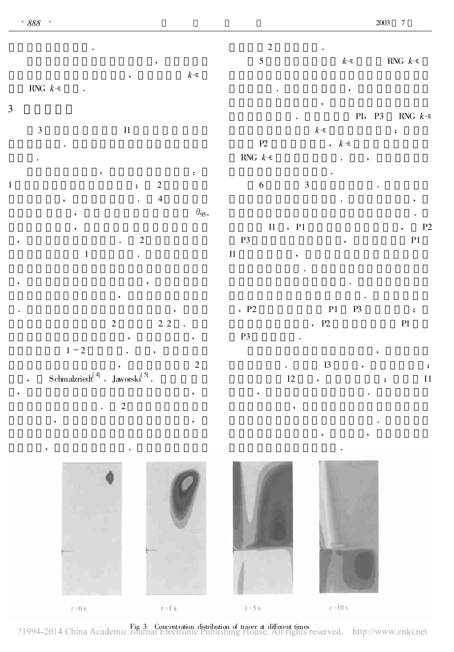, ,

|                |                           |                      |                                                                                 |                     | $\overline{2}$<br>$\mathfrak s$ |               | $k\text{-}\!\epsilon$           |               | RNG $k\text{-}\!\epsilon$              |
|----------------|---------------------------|----------------------|---------------------------------------------------------------------------------|---------------------|---------------------------------|---------------|---------------------------------|---------------|----------------------------------------|
|                | RNG $k\text{-}\!\epsilon$ | $\ddot{\phantom{a}}$ | $\bullet$                                                                       | $k$ - $\varepsilon$ |                                 |               |                                 |               |                                        |
|                |                           |                      |                                                                                 |                     |                                 |               | $\bullet$                       |               |                                        |
| $\mathfrak{Z}$ |                           |                      |                                                                                 |                     |                                 |               |                                 | P1, P3        | RNG $k-\epsilon$                       |
|                | $\overline{3}$            |                      | $\rm{I}1$                                                                       |                     |                                 |               | $k\text{-}\!\epsilon$           |               | $\ddot{\phantom{0}},$                  |
|                |                           |                      |                                                                                 |                     | $\mathbf{P2}$                   |               | , $k$ -ε                        |               |                                        |
|                |                           |                      |                                                                                 |                     | RNG $\,k\text{-}\varepsilon$    |               |                                 |               |                                        |
| $\,1\,$        |                           |                      | $\sqrt{2}$                                                                      | $\colon$            | $\sqrt{6}$                      | $\mathfrak 3$ |                                 |               |                                        |
|                |                           |                      | $\ddot{\phantom{0}},$<br>$\overline{\mathcal{L}}$                               |                     |                                 |               |                                 |               |                                        |
|                |                           |                      |                                                                                 | $\theta_{95}$ .     |                                 |               |                                 |               |                                        |
|                |                           |                      |                                                                                 |                     | $\;$ I1                         | , P1          |                                 |               | P2<br>$\bullet$                        |
|                |                           |                      | $\sqrt{2}$                                                                      |                     | $\mathbf{P3}$                   |               | $\overline{\phantom{a}}$        |               | $\mathbf{P}1$                          |
|                |                           | $\mathbf{1}$         |                                                                                 |                     | $\;$ I1                         | ٠             |                                 |               |                                        |
|                |                           |                      |                                                                                 |                     |                                 |               |                                 |               |                                        |
|                |                           |                      |                                                                                 |                     |                                 |               |                                 |               |                                        |
|                |                           |                      |                                                                                 |                     |                                 |               |                                 |               |                                        |
|                |                           |                      | $2.2$<br>$\sqrt{2}$                                                             |                     | , P2                            |               | $\mathbf{P}1$<br>, $\,$ P2 $\,$ | $\mathbf{P3}$ | $\ddot{\phantom{0}},$<br>$\mathbf{P}1$ |
|                |                           |                      |                                                                                 | $\bullet$           | $\mathbf{P3}$                   |               |                                 |               |                                        |
|                |                           | $1\sim2$             |                                                                                 |                     |                                 |               |                                 |               |                                        |
|                |                           |                      |                                                                                 | $\sqrt{2}$          |                                 |               | I3                              |               | $\ddot{\phantom{a}}$                   |
|                |                           |                      | $\text{Schmalzried}^{\left[\,4\right]}\text{ , Jaworski}^{\left[\,5\right]}\,.$ |                     |                                 | $\mathbf{I2}$ | $\overline{\phantom{a}}$        |               | $\rm{I}1$<br>$\ddot{\phantom{0}},$     |
| ,              |                           |                      |                                                                                 | ,                   |                                 |               |                                 |               |                                        |
|                |                           |                      | $\sqrt{2}$                                                                      |                     |                                 | $\bullet$     |                                 |               |                                        |
|                |                           | $\,{}^{\circ}\,$     |                                                                                 |                     |                                 |               |                                 |               |                                        |



The Structure of tracer at different times reserved. http://www.cnki.net/<br>Tournal Electronic Publishing House. All rights reserved. http://www.cnki.net/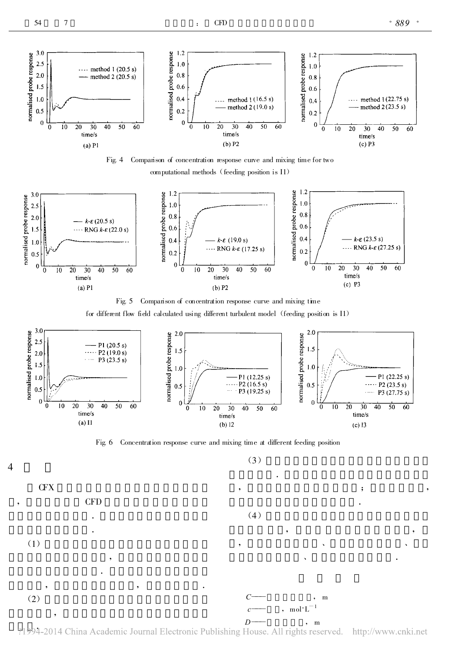4





computational methods (feeding position is I1)











?1994-2014 China Academic Journal Electronic Publishing House. All rights reserved. http://www.cnki.net